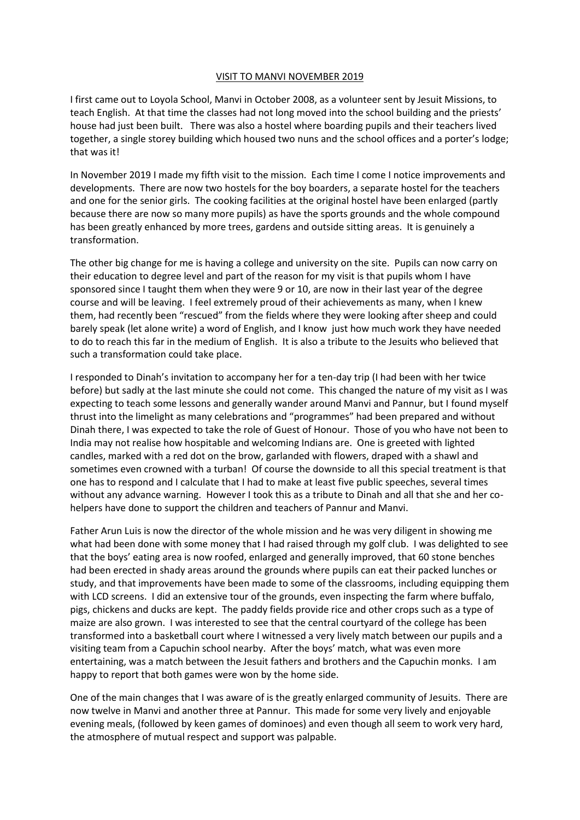## VISIT TO MANVI NOVEMBER 2019

I first came out to Loyola School, Manvi in October 2008, as a volunteer sent by Jesuit Missions, to teach English. At that time the classes had not long moved into the school building and the priests' house had just been built. There was also a hostel where boarding pupils and their teachers lived together, a single storey building which housed two nuns and the school offices and a porter's lodge; that was it!

In November 2019 I made my fifth visit to the mission. Each time I come I notice improvements and developments. There are now two hostels for the boy boarders, a separate hostel for the teachers and one for the senior girls. The cooking facilities at the original hostel have been enlarged (partly because there are now so many more pupils) as have the sports grounds and the whole compound has been greatly enhanced by more trees, gardens and outside sitting areas. It is genuinely a transformation.

The other big change for me is having a college and university on the site. Pupils can now carry on their education to degree level and part of the reason for my visit is that pupils whom I have sponsored since I taught them when they were 9 or 10, are now in their last year of the degree course and will be leaving. I feel extremely proud of their achievements as many, when I knew them, had recently been "rescued" from the fields where they were looking after sheep and could barely speak (let alone write) a word of English, and I know just how much work they have needed to do to reach this far in the medium of English. It is also a tribute to the Jesuits who believed that such a transformation could take place.

I responded to Dinah's invitation to accompany her for a ten-day trip (I had been with her twice before) but sadly at the last minute she could not come. This changed the nature of my visit as I was expecting to teach some lessons and generally wander around Manvi and Pannur, but I found myself thrust into the limelight as many celebrations and "programmes" had been prepared and without Dinah there, I was expected to take the role of Guest of Honour. Those of you who have not been to India may not realise how hospitable and welcoming Indians are. One is greeted with lighted candles, marked with a red dot on the brow, garlanded with flowers, draped with a shawl and sometimes even crowned with a turban! Of course the downside to all this special treatment is that one has to respond and I calculate that I had to make at least five public speeches, several times without any advance warning. However I took this as a tribute to Dinah and all that she and her cohelpers have done to support the children and teachers of Pannur and Manvi.

Father Arun Luis is now the director of the whole mission and he was very diligent in showing me what had been done with some money that I had raised through my golf club. I was delighted to see that the boys' eating area is now roofed, enlarged and generally improved, that 60 stone benches had been erected in shady areas around the grounds where pupils can eat their packed lunches or study, and that improvements have been made to some of the classrooms, including equipping them with LCD screens. I did an extensive tour of the grounds, even inspecting the farm where buffalo, pigs, chickens and ducks are kept. The paddy fields provide rice and other crops such as a type of maize are also grown. I was interested to see that the central courtyard of the college has been transformed into a basketball court where I witnessed a very lively match between our pupils and a visiting team from a Capuchin school nearby. After the boys' match, what was even more entertaining, was a match between the Jesuit fathers and brothers and the Capuchin monks. I am happy to report that both games were won by the home side.

One of the main changes that I was aware of is the greatly enlarged community of Jesuits. There are now twelve in Manvi and another three at Pannur. This made for some very lively and enjoyable evening meals, (followed by keen games of dominoes) and even though all seem to work very hard, the atmosphere of mutual respect and support was palpable.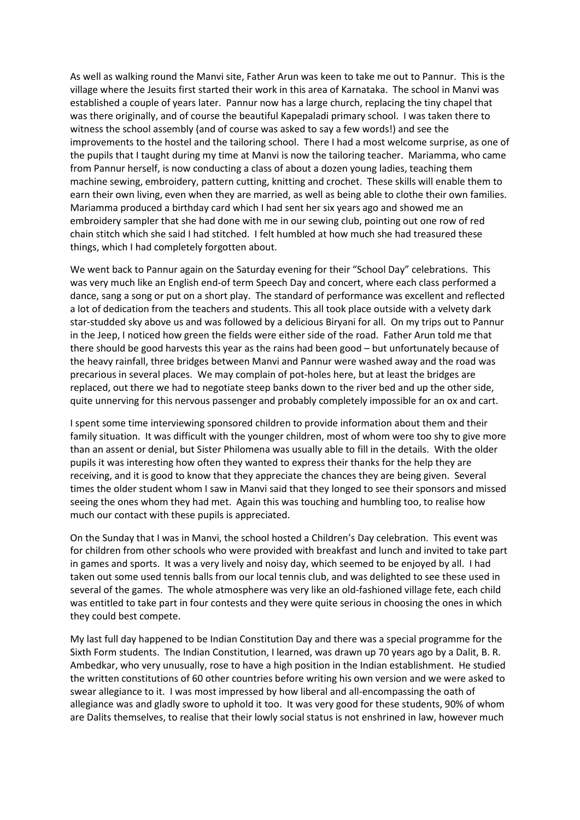As well as walking round the Manvi site, Father Arun was keen to take me out to Pannur. This is the village where the Jesuits first started their work in this area of Karnataka. The school in Manvi was established a couple of years later. Pannur now has a large church, replacing the tiny chapel that was there originally, and of course the beautiful Kapepaladi primary school. I was taken there to witness the school assembly (and of course was asked to say a few words!) and see the improvements to the hostel and the tailoring school. There I had a most welcome surprise, as one of the pupils that I taught during my time at Manvi is now the tailoring teacher. Mariamma, who came from Pannur herself, is now conducting a class of about a dozen young ladies, teaching them machine sewing, embroidery, pattern cutting, knitting and crochet. These skills will enable them to earn their own living, even when they are married, as well as being able to clothe their own families. Mariamma produced a birthday card which I had sent her six years ago and showed me an embroidery sampler that she had done with me in our sewing club, pointing out one row of red chain stitch which she said I had stitched. I felt humbled at how much she had treasured these things, which I had completely forgotten about.

We went back to Pannur again on the Saturday evening for their "School Day" celebrations. This was very much like an English end-of term Speech Day and concert, where each class performed a dance, sang a song or put on a short play. The standard of performance was excellent and reflected a lot of dedication from the teachers and students. This all took place outside with a velvety dark star-studded sky above us and was followed by a delicious Biryani for all. On my trips out to Pannur in the Jeep, I noticed how green the fields were either side of the road. Father Arun told me that there should be good harvests this year as the rains had been good – but unfortunately because of the heavy rainfall, three bridges between Manvi and Pannur were washed away and the road was precarious in several places. We may complain of pot-holes here, but at least the bridges are replaced, out there we had to negotiate steep banks down to the river bed and up the other side, quite unnerving for this nervous passenger and probably completely impossible for an ox and cart.

I spent some time interviewing sponsored children to provide information about them and their family situation. It was difficult with the younger children, most of whom were too shy to give more than an assent or denial, but Sister Philomena was usually able to fill in the details. With the older pupils it was interesting how often they wanted to express their thanks for the help they are receiving, and it is good to know that they appreciate the chances they are being given. Several times the older student whom I saw in Manvi said that they longed to see their sponsors and missed seeing the ones whom they had met. Again this was touching and humbling too, to realise how much our contact with these pupils is appreciated.

On the Sunday that I was in Manvi, the school hosted a Children's Day celebration. This event was for children from other schools who were provided with breakfast and lunch and invited to take part in games and sports. It was a very lively and noisy day, which seemed to be enjoyed by all. I had taken out some used tennis balls from our local tennis club, and was delighted to see these used in several of the games. The whole atmosphere was very like an old-fashioned village fete, each child was entitled to take part in four contests and they were quite serious in choosing the ones in which they could best compete.

My last full day happened to be Indian Constitution Day and there was a special programme for the Sixth Form students. The Indian Constitution, I learned, was drawn up 70 years ago by a Dalit, B. R. Ambedkar, who very unusually, rose to have a high position in the Indian establishment. He studied the written constitutions of 60 other countries before writing his own version and we were asked to swear allegiance to it. I was most impressed by how liberal and all-encompassing the oath of allegiance was and gladly swore to uphold it too. It was very good for these students, 90% of whom are Dalits themselves, to realise that their lowly social status is not enshrined in law, however much